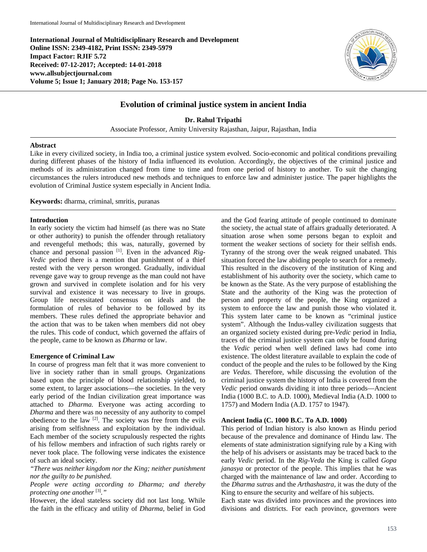**International Journal of Multidisciplinary Research and Development Online ISSN: 2349-4182, Print ISSN: 2349-5979 Impact Factor: RJIF 5.72 Received: 07-12-2017; Accepted: 14-01-2018 www.allsubjectjournal.com Volume 5; Issue 1; January 2018; Page No. 153-157**



# **Evolution of criminal justice system in ancient India**

**Dr. Rahul Tripathi**

Associate Professor, Amity University Rajasthan, Jaipur, Rajasthan, India

#### **Abstract**

Like in every civilized society, in India too, a criminal justice system evolved. Socio-economic and political conditions prevailing during different phases of the history of India influenced its evolution. Accordingly, the objectives of the criminal justice and methods of its administration changed from time to time and from one period of history to another. To suit the changing circumstances the rulers introduced new methods and techniques to enforce law and administer justice. The paper highlights the evolution of Criminal Justice system especially in Ancient India.

**Keywords:** dharma, criminal, smritis, puranas

### **Introduction**

In early society the victim had himself (as there was no State or other authority) to punish the offender through retaliatory and revengeful methods; this was, naturally, governed by chance and personal passion [1]. Even in the advanced *Rig-Vedic* period there is a mention that punishment of a thief rested with the very person wronged. Gradually, individual revenge gave way to group revenge as the man could not have grown and survived in complete isolation and for his very survival and existence it was necessary to live in groups. Group life necessitated consensus on ideals and the formulation of rules of behavior to be followed by its members. These rules defined the appropriate behavior and the action that was to be taken when members did not obey the rules. This code of conduct, which governed the affairs of the people, came to be known as *Dharma* or law.

### **Emergence of Criminal Law**

In course of progress man felt that it was more convenient to live in society rather than in small groups. Organizations based upon the principle of blood relationship yielded, to some extent, to larger associations—the societies. In the very early period of the Indian civilization great importance was attached to *Dharma.* Everyone was acting according to *Dharma* and there was no necessity of any authority to compel obedience to the law [2]. The society was free from the evils arising from selfishness and exploitation by the individual. Each member of the society scrupulously respected the rights of his fellow members and infraction of such rights rarely or never took place. The following verse indicates the existence of such an ideal society.

*"There was neither kingdom nor the King; neither punishment nor the guilty to be punished.*

*People were acting according to Dharma; and thereby protecting one another* [3]*."*

However, the ideal stateless society did not last long. While the faith in the efficacy and utility of *Dharma,* belief in God and the God fearing attitude of people continued to dominate the society, the actual state of affairs gradually deteriorated. A situation arose when some persons began to exploit and torment the weaker sections of society for their selfish ends. Tyranny of the strong over the weak reigned unabated. This situation forced the law abiding people to search for a remedy. This resulted in the discovery of the institution of King and establishment of his authority over the society, which came to be known as the State. As the very purpose of establishing the State and the authority of the King was the protection of person and property of the people, the King organized a system to enforce the law and punish those who violated it. This system later came to be known as "criminal justice system". Although the Indus-valley civilization suggests that an organized society existed during pre-*Vedic* period in India, traces of the criminal justice system can only be found during the *Vedic* period when well defined laws had come into existence. The oldest literature available to explain the code of conduct of the people and the rules to be followed by the King are *Vedas*. Therefore, while discussing the evolution of the criminal justice system the history of India is covered from the *Vedic* period onwards dividing it into three periods—Ancient India (1000 B.C. to A.D. 1000), Medieval India (A.D. 1000 to 1757) and Modern India (A.D. 1757 to 1947).

#### **Ancient India (C. 1000 B.C. To A.D. 1000)**

This period of Indian history is also known as Hindu period because of the prevalence and dominance of Hindu law. The elements of state administration signifying rule by a King with the help of his advisers or assistants may be traced back to the early *Vedic* period. In the *Rig-Veda* the King is called *Gopa janasya* or protector of the people. This implies that he was charged with the maintenance of law and order. According to the *Dharma sutras* and the *Arthashastra,* it was the duty of the King to ensure the security and welfare of his subjects.

Each state was divided into provinces and the provinces into divisions and districts. For each province, governors were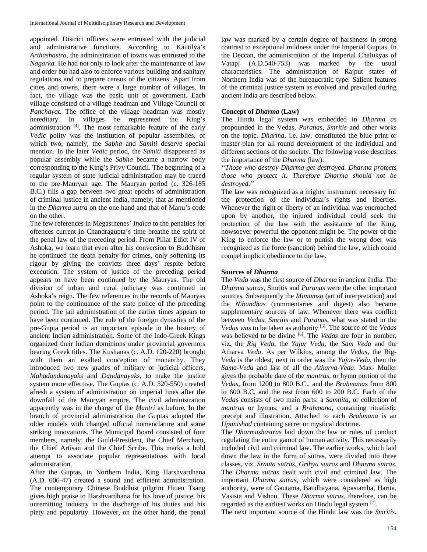appointed. District officers were entrusted with the judicial and administrative functions. According to Kautilya's *Arthashastra*, the administration of towns was entrusted to the *Nagarka.* He had not only to look after the maintenance of law and order but had also to enforce various building and sanitary regulations and to prepare census of the citizens. Apart from cities and towns, there were a large number of villages. In fact, the village was the basic unit of government. Each village consisted of a village headman and Village Council or *Panchayat*. The office of the village headman was mostly hereditary. In villages he represented the King's administration [4]. The most remarkable feature of the early *Vedic* polity was the institution of popular assemblies, of which two, namely, the *Sabha* and *Samiti* deserve special mention. In the later *Vedic* period, the *Samiti* disappeared as popular assembly while the *Sabha* became a narrow body corresponding to the King's Privy Council. The beginning of a regular system of state judicial administration may be traced to the pre-Mauryan age. The Mauryan period (c. 326-185 B.C.) fills a gap between two great epochs of administration of criminal justice in ancient India, namely, that as mentioned in the *Dharma sutra* on the one hand and that of Manu's code on the other.

The few references in Megasthenes' *Indica* to the penalties for offences current in Chandragupta's time breathe the spirit of the penal law of the preceding period. From Pillar Edict IV of Ashoka, we learn that even after his conversion to Buddhism he continued the death penalty for crimes, only softening its rigour by giving the convicts three days' respite before execution. The system of justice of the preceding period appears to have been continued by the Mauryas. The old division of urban and rural judiciary was continued in Ashoka's reign. The few references in the records of Mauryas point to the continuance of the state police of the preceding period. The jail administration of the earlier times appears to have been continued. The rule of the foreign dynasties of the pre-Gupta period is an important episode in the history of ancient Indian administration. Some of the Indo-Greek Kings organized their Indian dominions under provincial governors bearing Greek titles. The Kushanas (c. A.D. 120-220) brought with them an exalted conception of monarchy. They introduced two new grades of military or judicial officers, *Mahadandanayaks* and *Dandanayaks*, to make the justice system more effective. The Guptas (c. A.D. 320-550) created afresh a system of administration on imperial lines after the downfall of the Mauryan empire. The civil administration apparently was in the charge of the *Mantri* as before. In the branch of provincial administration the Guptas adopted the older models with changed official nomenclature and some striking innovations. The Municipal Board consisted of four members, namely, the Guild-President, the Chief Merchant, the Chief Artisan and the Chief Scribe. This marks a bold attempt to associate popular representatives with local administration.

After the Guptas, in Northern India, King Harshvardhana (A.D. 606-47) created a sound and efficient administration. The contemporary Chinese Buddhist pilgrim Hiuen Tsang gives high praise to Harshvardhana for his love of justice, his unremitting industry in the discharge of his duties and his piety and popularity. However, on the other hand, the penal law was marked by a certain degree of harshness in strong contrast to exceptional mildness under the Imperial Guptas. In the Deccan, the administration of the Imperial Chalukyas of Vatapi (A.D.540-753) was marked by the usual characteristics. The administration of Rajput states of Northern India was of the bureaucratic type. Salient features of the criminal justice system as evolved and prevailed during ancient India are described below.

#### **Concept of** *Dharma* **(Law)**

The Hindu legal system was embedded in *Dharma as*  propounded in the Vedas*, Puranas, Smritis* and other works on the topic. *Dharma*, i.e. law, constituted the blue print or master-plan for all round development of the individual and different sections of the society. The following verse describes the importance of the *Dharma* (law):

*"Those who destroy Dharma get destroyed. Dharma protects those who protect it. Therefore Dharma should not be destroyed."*

The law was recognized as a mighty instrument necessary for the protection of the individual's rights and liberties. Whenever the right or liberty of an individual was encroached upon by another, the injured individual could seek the protection of the law with the assistance of the King, howsoever powerful the opponent might be. The power of the King to enforce the law or to punish the wrong doer was recognized as the force (sanction) behind the law, which could compel implicit obedience to the law.

#### **Sources of** *Dharma*

The *Veda* was the first source of *Dharma* in ancient India. The *Dharma sutras*, Smritis and *Puranas* were the other important sources. Subsequently the *Mimamsa* (art of interpretation) and the *Nibandhas* (commentaries and digest) also became supplementary sources of law. Whenever there was conflict between *Vedas*, *Smritis* and *Puranas*, what was stated in the *Vedas was* to be taken as authority [5]. The source of the *Vedas*  was believed to be divine [6]. The *Vedas* are four in number, viz. the *Rig Veda*, the *Yajur Veda*, the *Sam Veda* and the Atharva *Veda*. As per Wilkins, among the *Vedas*, the Rig-*Veda* is the oldest, next in order was the *Yajur*-*Veda*, then the *Sama-Veda* and last of all the *Atharva-Veda*. Max- Muller gives the probable date of the *mantras*, or hymn portion of the *Vedas*, from 1200 to 800 B.C., and the *Brahmanas* from 800 to 600 B.C, and the rest from 600 to 200 B.C. Each of the *Vedas* consists of two main parts: a *Samhita,* or collection of *mantras* or hymns; and a *Brahmana*, containing ritualistic precept and illustration. Attached to each *Brahmana* is an *Upanishad* containing secret or mystical doctrine.

The *Dharmashastras* laid down the law or rules of conduct regulating the entire gamut of human activity. This necessarily included civil and criminal law. The earlier works, which laid down the law in the form of sutras, were divided into three classes, viz. *Srauta sutras, Grihya sutras* and *Dharma sutras.*  The *Dharma sutras* dealt with civil and criminal law. The important *Dharma sutras*, which were considered as high authority, were of Gautama, Baudhayana, Apastamba, Harita, Vasista and Vishnu. These *Dharma sutras*, therefore, can be regarded as the earliest works on Hindu legal system <sup>[7]</sup>.

The next important source of the Hindu law was the *Smritis.*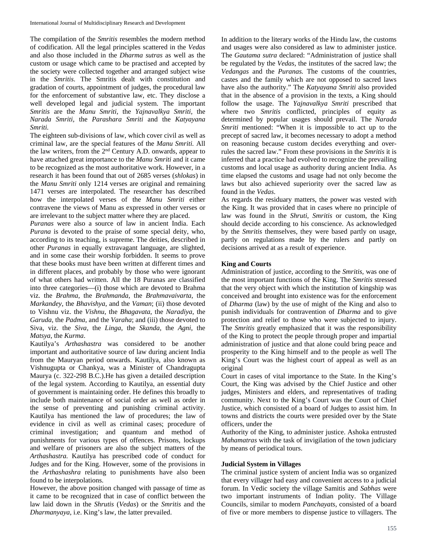The compilation of the *Smritis* resembles the modern method of codification. All the legal principles scattered in the *Vedas*  and also those included in the *Dharma sutras* as well as the custom or usage which came to be practised and accepted by the society were collected together and arranged subject wise in the *Smritis*. The Smritis dealt with constitution and gradation of courts, appointment of judges, the procedural law for the enforcement of substantive law, etc. They disclose a well developed legal and judicial system. The important *Smritis* are the *Manu Smriti,* the *Yajnavalkya Smriti,* the *Narada Smriti,* the *Parashara Smriti* and the *Katyayana Smriti.*

The eighteen sub-divisions of law, which cover civil as well as criminal law, are the special features of the *Manu Smriti.* All the law writers, from the  $2<sup>nd</sup>$  Century A.D. onwards, appear to have attached great importance to the *Manu Smriti* and it came to be recognized as the most authoritative work. However, in a research it has been found that out of 2685 verses (*shlokas*) in the *Manu Smriti* only 1214 verses are original and remaining 1471 verses are interpolated. The researcher has described how the interpolated verses of the *Manu Smriti* either contravene the views of Manu as expressed in other verses or are irrelevant to the subject matter where they are placed.

*Puranas* were also a source of law in ancient India. Each *Purana* is devoted to the praise of some special deity, who, according to its teaching, is supreme. The deities, described in other *Puranas* in equally extravagant language, are slighted, and in some case their worship forbidden. It seems to prove that these books must have been written at different times and in different places, and probably by those who were ignorant of what others had written. All the 18 Puranas are classified into three categories—(i) those which are devoted to Brahma viz. the *Brahma*, the *Brahmanda*, the *Brahmavaivarta*, the *Markandey*, the *Bhavishya*, and the *Vaman*; (ii) those devoted to Vishnu viz. the *Vishnu*, the *Bhagavata*, the *Naradiya*, the *Garuda*, the *Padma*, and the *Varaha*; and (iii) those devoted to Siva, viz. the *Siva*, the *Linga*, the *Skanda*, the *Agni*, the *Matsya*, the *Kurma*.

Kautilya's *Arthashastra* was considered to be another important and authoritative source of law during ancient India from the Mauryan period onwards. Kautilya, also known as Vishnugupta or Chankya, was a Minister of Chandragupta Maurya (c. 322-298 B.C.).He has given a detailed description of the legal system. According to Kautilya, an essential duty of government is maintaining order. He defines this broadly to include both maintenance of social order as well as order in the sense of preventing and punishing criminal activity. Kautilya has mentioned the law of procedures; the law of evidence in civil as well as criminal cases; procedure of criminal investigation; and quantum and method of punishments for various types of offences. Prisons, lockups and welfare of prisoners are also the subject matters of the *Arthashastra.* Kautilya has prescribed code of conduct for Judges and for the King. However, some of the provisions in the *Arthashashra* relating to punishments have also been found to be interpolations.

However, the above position changed with passage of time as it came to be recognized that in case of conflict between the law laid down in the *Shrutis* (*Vedas*) or the *Smritis* and the *Dharmanyaya*, i.e. King's law, the latter prevailed.

In addition to the literary works of the Hindu law, the customs and usages were also considered as law to administer justice. The *Gautama sutra* declared: "Administration of justice shall be regulated by the *Vedas*, the institutes of the sacred law; the *Vedangas* and the *Puranas.* The customs of the countries, castes and the family which are not opposed to sacred laws have also the authority." The *Katyayana Smriti* also provided that in the absence of a provision in the texts, a King should follow the usage. The *Yajnavalkya Smriti* prescribed that where two *Smritis* conflicted, principles of equity as determined by popular usages should prevail. The *Narada Smriti* mentioned: "When it is impossible to act up to the precept of sacred law, it becomes necessary to adopt a method on reasoning because custom decides everything and overrules the sacred law." From these provisions in the *Smritis* it is inferred that a practice had evolved to recognize the prevailing customs and local usage as authority during ancient India. As time elapsed the customs and usage had not only become the laws but also achieved superiority over the sacred law as found in the *Vedas*.

As regards the residuary matters, the power was vested with the King. It was provided that in cases where no principle of law was found in the *Shruti, Smritis* or custom, the King should decide according to his conscience. As acknowledged by the *Smritis* themselves, they were based partly on usage, partly on regulations made by the rulers and partly on decisions arrived at as a result of experience.

### **King and Courts**

Administration of justice, according to the *Smritis,* was one of the most important functions of the King. The *Smritis* stressed that the very object with which the institution of kingship was conceived and brought into existence was for the enforcement of *Dharma* (law) by the use of might of the King and also to punish individuals for contravention of *Dharma* and to give protection and relief to those who were subjected to injury. The *Smritis* greatly emphasized that it was the responsibility of the King to protect the people through proper and impartial administration of justice and that alone could bring peace and prosperity to the King himself and to the people as well The King's Court was the highest court of appeal as well as an original

Court in cases of vital importance to the State. In the King's Court, the King was advised by the Chief Justice and other judges, Ministers and elders, and representatives of trading community. Next to the King's Court was the Court of Chief Justice, which consisted of a board of Judges to assist him. In towns and districts the courts were presided over by the State officers, under the

Authority of the King, to administer justice. Ashoka entrusted *Mahamatras* with the task of invigilation of the town judiciary by means of periodical tours.

#### **Judicial System in Villages**

The criminal justice system of ancient India was so organized that every villager had easy and convenient access to a judicial forum. In Vedic society the village Samitis and *Sabhas* were two important instruments of Indian polity. The Village Councils, similar to modern *Panchayats*, consisted of a board of five or more members to dispense justice to villagers. The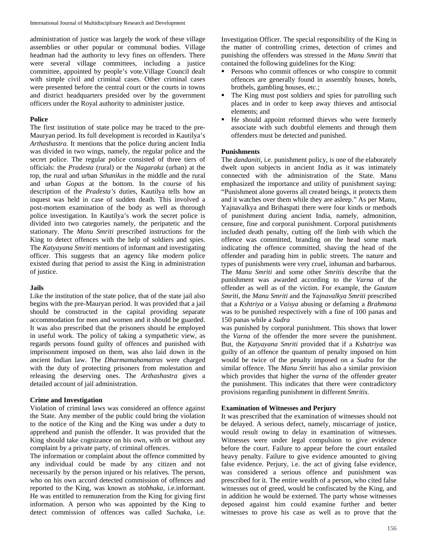administration of justice was largely the work of these village assemblies or other popular or communal bodies. Village headman had the authority to levy fines on offenders. There were several village committees, including a justice committee, appointed by people's vote.Village Council dealt with simple civil and criminal cases. Other criminal cases were presented before the central court or the courts in towns and district headquarters presided over by the government officers under the Royal authority to administer justice.

### **Police**

The first institution of state police may be traced to the pre-Mauryan period. Its full development is recorded in Kautilya's *Arthashastra.* It mentions that the police during ancient India was divided in two wings, namely, the regular police and the secret police. The regular police consisted of three tiers of officials: the *Pradesta* (rural) or the *Nagaraka* (urban) at the top, the rural and urban *Sthanikas* in the middle and the rural and urban *Gopas* at the bottom. In the course of his description of the *Pradesta's* duties, Kautilya tells how an inquest was held in case of sudden death. This involved a post-mortem examination of the body as well as thorough police investigation. In Kautilya's work the secret police is divided into two categories namely, the peripatetic and the stationary. The *Manu Smriti* prescribed instructions for the King to detect offences with the help of soldiers and spies. The *Katyayana Smriti* mentions of informant and investigating officer. This suggests that an agency like modern police existed during that period to assist the King in administration of justice.

## **Jails**

Like the institution of the state police, that of the state jail also begins with the pre-Mauryan period. It was provided that a jail should be constructed in the capital providing separate accommodation for men and women and it should be guarded. It was also prescribed that the prisoners should be employed in useful work. The policy of taking a sympathetic view, as regards persons found guilty of offences and punished with imprisonment imposed on them, was also laid down in the ancient Indian law. The *Dharmamahamatras* were charged with the duty of protecting prisoners from molestation and releasing the deserving ones. The *Arthashastra* gives a detailed account of jail administration.

### **Crime and Investigation**

Violation of criminal laws was considered an offence against the State. Any member of the public could bring the violation to the notice of the King and the King was under a duty to apprehend and punish the offender. It was provided that the King should take cognizance on his own, with or without any complaint by a private party, of criminal offences.

The information or complaint about the offence committed by any individual could be made by any citizen and not necessarily by the person injured or his relatives. The person, who on his own accord detected commission of offences and reported to the King, was known as *stobhaka*, i.e.informant. He was entitled to remuneration from the King for giving first information. A person who was appointed by the King to detect commission of offences was called *Suchaka*, i.e.

Investigation Officer. The special responsibility of the King in the matter of controlling crimes, detection of crimes and punishing the offenders was stressed in the *Manu Smriti* that contained the following guidelines for the King:

- Persons who commit offences or who conspire to commit offences are generally found in assembly houses, hotels, brothels, gambling houses, etc.;
- The King must post soldiers and spies for patrolling such places and in order to keep away thieves and antisocial elements; and
- He should appoint reformed thieves who were formerly associate with such doubtful elements and through them offenders must be detected and punished.

## **Punishments**

The *dandaniti*, i.e. punishment policy, is one of the elaborately dwelt upon subjects in ancient India as it was intimately connected with the administration of the State. Manu emphasized the importance and utility of punishment saying: "Punishment alone governs all created beings, it protects them and it watches over them while they are asleep." As per Manu, Yajnavalkya and Brihaspati there were four kinds or methods of punishment during ancient India, namely, admonition, censure, fine and corporal punishment. Corporal punishments included death penalty, cutting off the limb with which the offence was committed, branding on the head some mark indicating the offence committed, shaving the head of the offender and parading him in public streets. The nature and types of punishments were very cruel, inhuman and barbarous. The *Manu Smriti* and some other *Smritis* describe that the punishment was awarded according to the *Varna* of the offender as well as of the victim. For example, the *Gautam Smriti*, the *Manu Smriti* and the *Yajnavalkya Smriti* prescribed that a *Kshtriya* or a *Vaisya* abusing or defaming a *Brahmana*  was to be punished respectively with a fine of 100 panas and 150 panas while a *Sudra*

was punished by corporal punishment. This shows that lower the *Varna* of the offender the more severe the punishment. But, the *Katyayana Smriti* provided that if a *Kshatriya* was guilty of an offence the quantum of penalty imposed on him would be twice of the penalty imposed on a *Sudra* for the similar offence. The *Manu Smriti* has also a similar provision which provides that higher the *varna* of the offender greater the punishment. This indicates that there were contradictory provisions regarding punishment in different *Smritis.*

### **Examination of Witnesses and Perjury**

It was prescribed that the examination of witnesses should not be delayed. A serious defect, namely, miscarriage of justice, would result owing to delay in examination of witnesses. Witnesses were under legal compulsion to give evidence before the court. Failure to appear before the court entailed heavy penalty. Failure to give evidence amounted to giving false evidence. Perjury, i.e. the act of giving false evidence, was considered a serious offence and punishment was prescribed for it. The entire wealth of a person, who cited false witnesses out of greed, would be confiscated by the King, and in addition he would be externed. The party whose witnesses deposed against him could examine further and better witnesses to prove his case as well as to prove that the